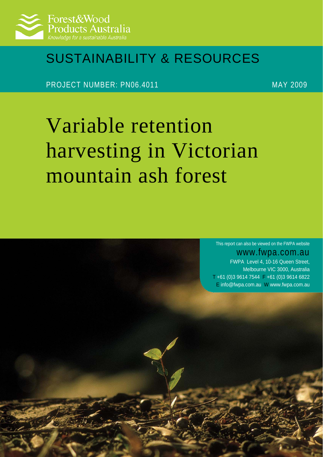

## SUSTAINABILITY & RESOURCES

PROJECT NUMBER: PN06.4011 MAY 2009

# Variable retention harvesting in Victorian mountain ash forest

This report can also be viewed on the FWPA website

www.fwpa.com.au FWPA Level 4, 10-16 Queen Street,

Melbourne VIC 3000, Australia T +61 (0)3 9614 7544 F +61 (0)3 9614 6822 E [info@fwpa.com.au](mailto:info@fwpa.com.auW) W www.fwpa.com.au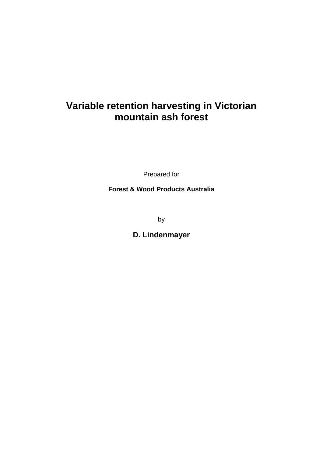### **Variable retention harvesting in Victorian mountain ash forest**

Prepared for

**Forest & Wood Products Australia** 

by

**D. Lindenmayer**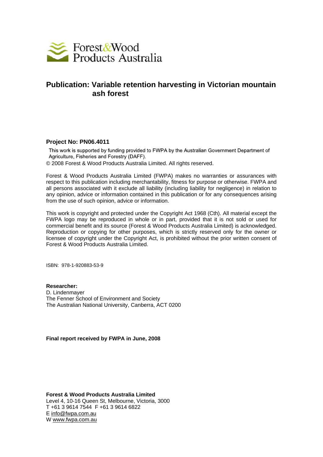

#### **Publication: Variable retention harvesting in Victorian mountain ash forest**

#### **Project No: PN06.4011**

This work is supported by funding provided to FWPA by the Australian Government Department of Agriculture, Fisheries and Forestry (DAFF).

© 2008 Forest & Wood Products Australia Limited. All rights reserved.

Forest & Wood Products Australia Limited (FWPA) makes no warranties or assurances with respect to this publication including merchantability, fitness for purpose or otherwise. FWPA and all persons associated with it exclude all liability (including liability for negligence) in relation to any opinion, advice or information contained in this publication or for any consequences arising from the use of such opinion, advice or information.

This work is copyright and protected under the Copyright Act 1968 (Cth). All material except the FWPA logo may be reproduced in whole or in part, provided that it is not sold or used for commercial benefit and its source (Forest & Wood Products Australia Limited) is acknowledged. Reproduction or copying for other purposes, which is strictly reserved only for the owner or licensee of copyright under the Copyright Act, is prohibited without the prior written consent of Forest & Wood Products Australia Limited.

ISBN: 978-1-920883-53-9

**Researcher:**  D. Lindenmayer The Fenner School of Environment and Society The Australian National University, Canberra, ACT 0200

**Final report received by FWPA in June, 2008** 

**Forest & Wood Products Australia Limited**  Level 4, 10-16 Queen St, Melbourne, Victoria, 3000 T +61 3 9614 7544 F +61 3 9614 6822 E info@fwpa.com.au W www.fwpa.com.au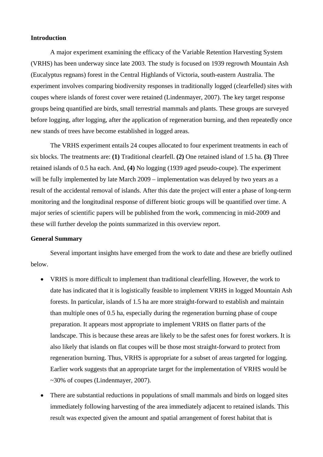#### **Introduction**

 A major experiment examining the efficacy of the Variable Retention Harvesting System (VRHS) has been underway since late 2003. The study is focused on 1939 regrowth Mountain Ash (Eucalyptus regnans) forest in the Central Highlands of Victoria, south-eastern Australia. The experiment involves comparing biodiversity responses in traditionally logged (clearfelled) sites with coupes where islands of forest cover were retained (Lindenmayer, 2007). The key target response groups being quantified are birds, small terrestrial mammals and plants. These groups are surveyed before logging, after logging, after the application of regeneration burning, and then repeatedly once new stands of trees have become established in logged areas.

 The VRHS experiment entails 24 coupes allocated to four experiment treatments in each of six blocks. The treatments are: **(1)** Traditional clearfell. **(2)** One retained island of 1.5 ha. **(3)** Three retained islands of 0.5 ha each. And, **(4)** No logging (1939 aged pseudo-coupe). The experiment will be fully implemented by late March 2009 – implementation was delayed by two years as a result of the accidental removal of islands. After this date the project will enter a phase of long-term monitoring and the longitudinal response of different biotic groups will be quantified over time. A major series of scientific papers will be published from the work, commencing in mid-2009 and these will further develop the points summarized in this overview report.

#### **General Summary**

 Several important insights have emerged from the work to date and these are briefly outlined below.

- VRHS is more difficult to implement than traditional clearfelling. However, the work to date has indicated that it is logistically feasible to implement VRHS in logged Mountain Ash forests. In particular, islands of 1.5 ha are more straight-forward to establish and maintain than multiple ones of 0.5 ha, especially during the regeneration burning phase of coupe preparation. It appears most appropriate to implement VRHS on flatter parts of the landscape. This is because these areas are likely to be the safest ones for forest workers. It is also likely that islands on flat coupes will be those most straight-forward to protect from regeneration burning. Thus, VRHS is appropriate for a subset of areas targeted for logging. Earlier work suggests that an appropriate target for the implementation of VRHS would be ~30% of coupes (Lindenmayer, 2007).
- There are substantial reductions in populations of small mammals and birds on logged sites immediately following harvesting of the area immediately adjacent to retained islands. This result was expected given the amount and spatial arrangement of forest habitat that is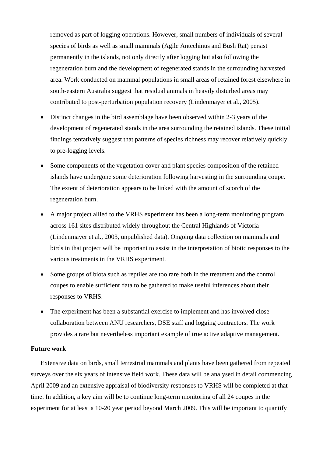removed as part of logging operations. However, small numbers of individuals of several species of birds as well as small mammals (Agile Antechinus and Bush Rat) persist permanently in the islands, not only directly after logging but also following the regeneration burn and the development of regenerated stands in the surrounding harvested area. Work conducted on mammal populations in small areas of retained forest elsewhere in south-eastern Australia suggest that residual animals in heavily disturbed areas may contributed to post-perturbation population recovery (Lindenmayer et al., 2005).

- Distinct changes in the bird assemblage have been observed within 2-3 years of the development of regenerated stands in the area surrounding the retained islands. These initial findings tentatively suggest that patterns of species richness may recover relatively quickly to pre-logging levels.
- Some components of the vegetation cover and plant species composition of the retained islands have undergone some deterioration following harvesting in the surrounding coupe. The extent of deterioration appears to be linked with the amount of scorch of the regeneration burn.
- A major project allied to the VRHS experiment has been a long-term monitoring program across 161 sites distributed widely throughout the Central Highlands of Victoria (Lindenmayer et al., 2003, unpublished data). Ongoing data collection on mammals and birds in that project will be important to assist in the interpretation of biotic responses to the various treatments in the VRHS experiment.
- Some groups of biota such as reptiles are too rare both in the treatment and the control coupes to enable sufficient data to be gathered to make useful inferences about their responses to VRHS.
- The experiment has been a substantial exercise to implement and has involved close collaboration between ANU researchers, DSE staff and logging contractors. The work provides a rare but nevertheless important example of true active adaptive management.

#### **Future work**

Extensive data on birds, small terrestrial mammals and plants have been gathered from repeated surveys over the six years of intensive field work. These data will be analysed in detail commencing April 2009 and an extensive appraisal of biodiversity responses to VRHS will be completed at that time. In addition, a key aim will be to continue long-term monitoring of all 24 coupes in the experiment for at least a 10-20 year period beyond March 2009. This will be important to quantify